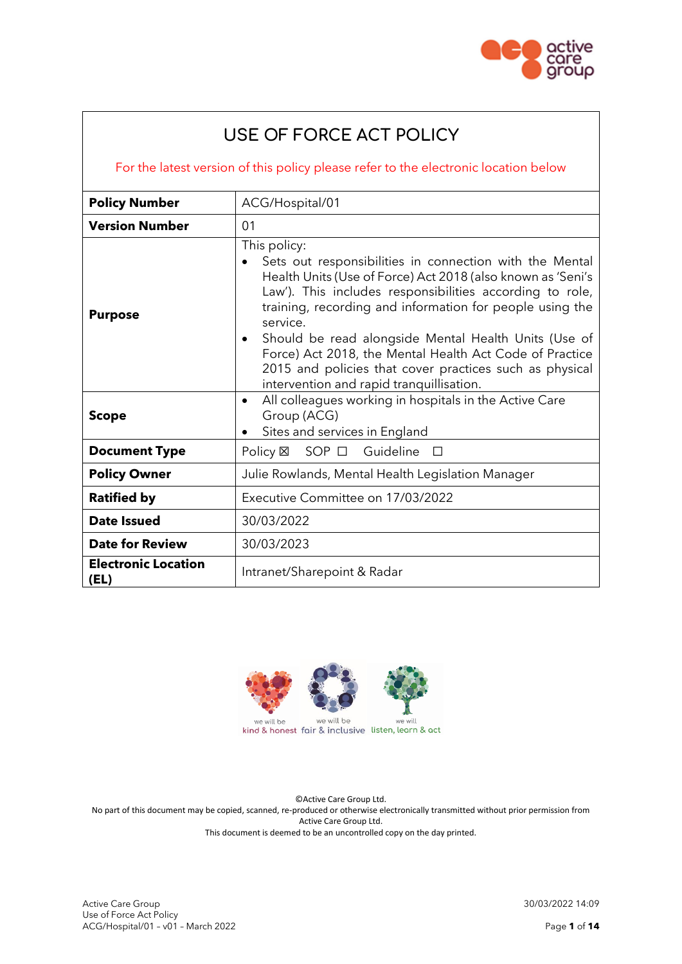

# **USE OF FORCE ACT POLICY**

For the latest version of this policy please refer to the electronic location below

| <b>Policy Number</b>               | ACG/Hospital/01                                                                                                                                                                                                                                                                                                                                                                                                                                                                                                   |  |
|------------------------------------|-------------------------------------------------------------------------------------------------------------------------------------------------------------------------------------------------------------------------------------------------------------------------------------------------------------------------------------------------------------------------------------------------------------------------------------------------------------------------------------------------------------------|--|
| <b>Version Number</b>              | 01                                                                                                                                                                                                                                                                                                                                                                                                                                                                                                                |  |
| <b>Purpose</b>                     | This policy:<br>Sets out responsibilities in connection with the Mental<br>Health Units (Use of Force) Act 2018 (also known as 'Seni's<br>Law'). This includes responsibilities according to role,<br>training, recording and information for people using the<br>service.<br>Should be read alongside Mental Health Units (Use of<br>$\bullet$<br>Force) Act 2018, the Mental Health Act Code of Practice<br>2015 and policies that cover practices such as physical<br>intervention and rapid tranquillisation. |  |
| <b>Scope</b>                       | All colleagues working in hospitals in the Active Care<br>$\bullet$<br>Group (ACG)<br>Sites and services in England                                                                                                                                                                                                                                                                                                                                                                                               |  |
| <b>Document Type</b>               | $SOP$ $\Box$<br>Guideline<br>Policy ⊠<br>$\Box$                                                                                                                                                                                                                                                                                                                                                                                                                                                                   |  |
| <b>Policy Owner</b>                | Julie Rowlands, Mental Health Legislation Manager                                                                                                                                                                                                                                                                                                                                                                                                                                                                 |  |
| <b>Ratified by</b>                 | Executive Committee on 17/03/2022                                                                                                                                                                                                                                                                                                                                                                                                                                                                                 |  |
| Date Issued                        | 30/03/2022                                                                                                                                                                                                                                                                                                                                                                                                                                                                                                        |  |
| <b>Date for Review</b>             | 30/03/2023                                                                                                                                                                                                                                                                                                                                                                                                                                                                                                        |  |
| <b>Electronic Location</b><br>(EL) | Intranet/Sharepoint & Radar                                                                                                                                                                                                                                                                                                                                                                                                                                                                                       |  |



©Active Care Group Ltd. No part of this document may be copied, scanned, re-produced or otherwise electronically transmitted without prior permission from Active Care Group Ltd. This document is deemed to be an uncontrolled copy on the day printed.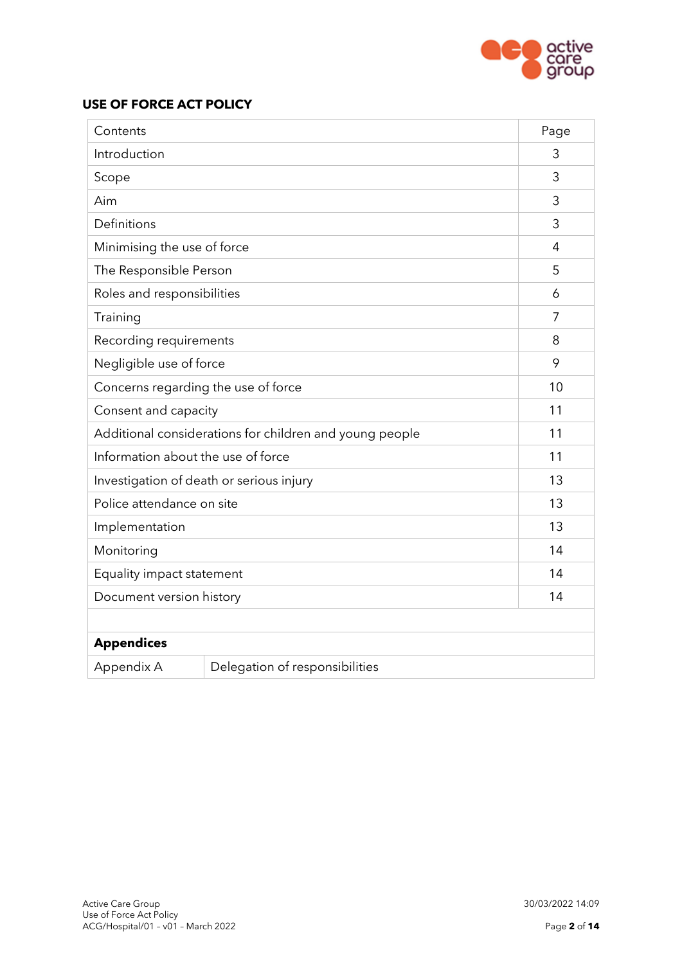

# **USE OF FORCE ACT POLICY**

| Contents                                                |                                | Page           |
|---------------------------------------------------------|--------------------------------|----------------|
| Introduction                                            |                                | 3              |
| Scope                                                   |                                | 3              |
| Aim                                                     |                                | 3              |
| Definitions                                             |                                | 3              |
| Minimising the use of force                             |                                | $\overline{4}$ |
| The Responsible Person                                  |                                | 5              |
| Roles and responsibilities                              |                                | 6              |
| Training                                                |                                | $\overline{7}$ |
| Recording requirements                                  |                                | 8              |
| Negligible use of force                                 |                                | 9              |
| Concerns regarding the use of force                     |                                | 10             |
| Consent and capacity                                    |                                | 11             |
| Additional considerations for children and young people |                                | 11             |
| Information about the use of force                      |                                | 11             |
| Investigation of death or serious injury                |                                | 13             |
| Police attendance on site                               |                                | 13             |
| Implementation                                          |                                | 13             |
| Monitoring                                              |                                | 14             |
| Equality impact statement                               |                                | 14             |
| Document version history                                |                                | 14             |
|                                                         |                                |                |
| <b>Appendices</b>                                       |                                |                |
| Appendix A                                              | Delegation of responsibilities |                |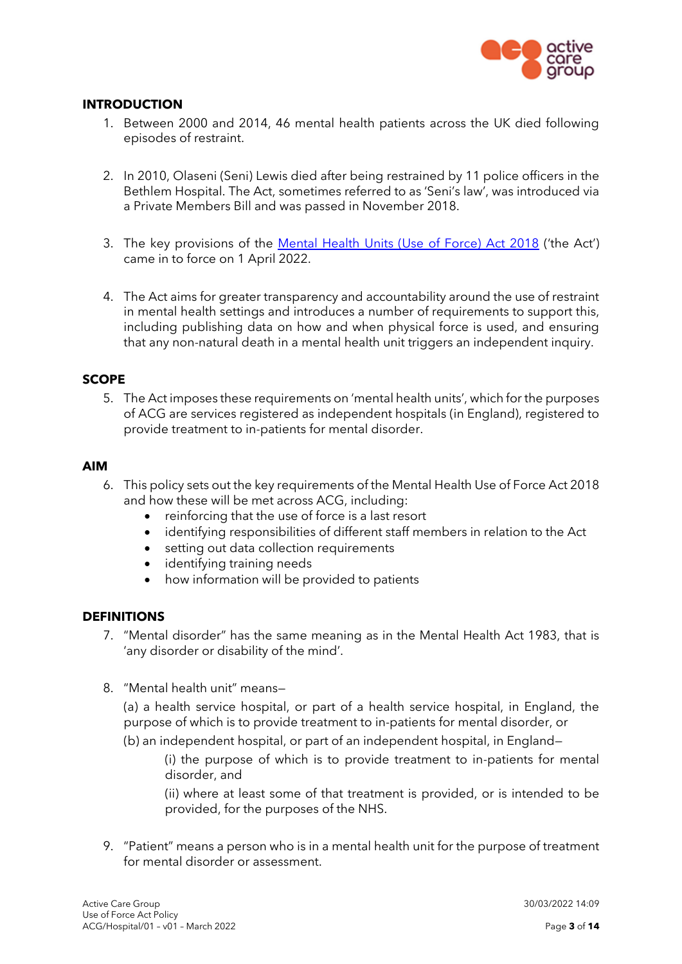

## **INTRODUCTION**

- 1. Between 2000 and 2014, 46 mental health patients across the UK died following episodes of restraint.
- 2. In 2010, Olaseni (Seni) Lewis died after being restrained by 11 police officers in the Bethlem Hospital. The Act, sometimes referred to as 'Seni's law', was introduced via a Private Members Bill and was passed in November 2018.
- 3. The key provisions of the [Mental Health Units \(Use of Force\) Act 2018](http://www.legislation.gov.uk/ukpga/2018/27/enacted) ('the Act') came in to force on 1 April 2022.
- 4. The Act aims for greater transparency and accountability around the use of restraint in mental health settings and introduces a number of requirements to support this, including publishing data on how and when physical force is used, and ensuring that any non-natural death in a mental health unit triggers an independent inquiry.

#### **SCOPE**

5. The Act imposes these requirements on 'mental health units', which for the purposes of ACG are services registered as independent hospitals (in England), registered to provide treatment to in-patients for mental disorder.

#### **AIM**

- 6. This policy sets out the key requirements of the Mental Health Use of Force Act 2018 and how these will be met across ACG, including:
	- reinforcing that the use of force is a last resort
	- identifying responsibilities of different staff members in relation to the Act
	- setting out data collection requirements
	- identifying training needs
	- how information will be provided to patients

#### **DEFINITIONS**

- 7. "Mental disorder" has the same meaning as in the Mental Health Act 1983, that is 'any disorder or disability of the mind'.
- 8. "Mental health unit" means—

(a) a health service hospital, or part of a health service hospital, in England, the purpose of which is to provide treatment to in-patients for mental disorder, or

(b) an independent hospital, or part of an independent hospital, in England—

(i) the purpose of which is to provide treatment to in-patients for mental disorder, and

(ii) where at least some of that treatment is provided, or is intended to be provided, for the purposes of the NHS.

9. "Patient" means a person who is in a mental health unit for the purpose of treatment for mental disorder or assessment.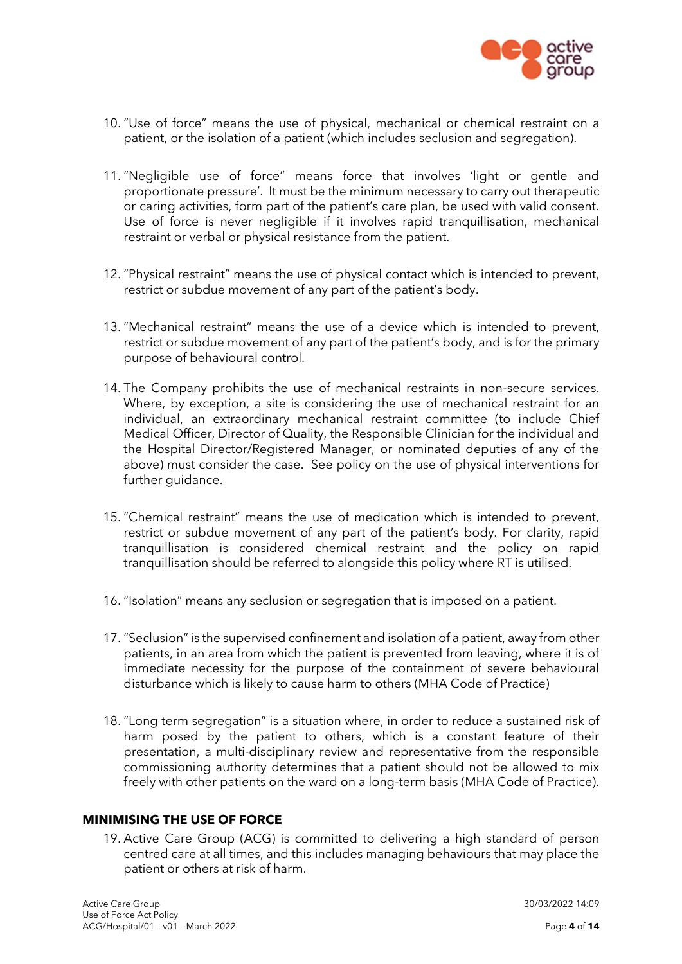

- 10. "Use of force" means the use of physical, mechanical or chemical restraint on a patient, or the isolation of a patient (which includes seclusion and segregation).
- 11. "Negligible use of force" means force that involves 'light or gentle and proportionate pressure'. It must be the minimum necessary to carry out therapeutic or caring activities, form part of the patient's care plan, be used with valid consent. Use of force is never negligible if it involves rapid tranquillisation, mechanical restraint or verbal or physical resistance from the patient.
- 12. "Physical restraint" means the use of physical contact which is intended to prevent, restrict or subdue movement of any part of the patient's body.
- 13. "Mechanical restraint" means the use of a device which is intended to prevent, restrict or subdue movement of any part of the patient's body, and is for the primary purpose of behavioural control.
- 14. The Company prohibits the use of mechanical restraints in non-secure services. Where, by exception, a site is considering the use of mechanical restraint for an individual, an extraordinary mechanical restraint committee (to include Chief Medical Officer, Director of Quality, the Responsible Clinician for the individual and the Hospital Director/Registered Manager, or nominated deputies of any of the above) must consider the case. See policy on the use of physical interventions for further guidance.
- 15. "Chemical restraint" means the use of medication which is intended to prevent, restrict or subdue movement of any part of the patient's body. For clarity, rapid tranquillisation is considered chemical restraint and the policy on rapid tranquillisation should be referred to alongside this policy where RT is utilised.
- 16. "Isolation" means any seclusion or segregation that is imposed on a patient.
- 17. "Seclusion" is the supervised confinement and isolation of a patient, away from other patients, in an area from which the patient is prevented from leaving, where it is of immediate necessity for the purpose of the containment of severe behavioural disturbance which is likely to cause harm to others (MHA Code of Practice)
- 18. "Long term segregation" is a situation where, in order to reduce a sustained risk of harm posed by the patient to others, which is a constant feature of their presentation, a multi-disciplinary review and representative from the responsible commissioning authority determines that a patient should not be allowed to mix freely with other patients on the ward on a long-term basis (MHA Code of Practice).

## **MINIMISING THE USE OF FORCE**

19. Active Care Group (ACG) is committed to delivering a high standard of person centred care at all times, and this includes managing behaviours that may place the patient or others at risk of harm.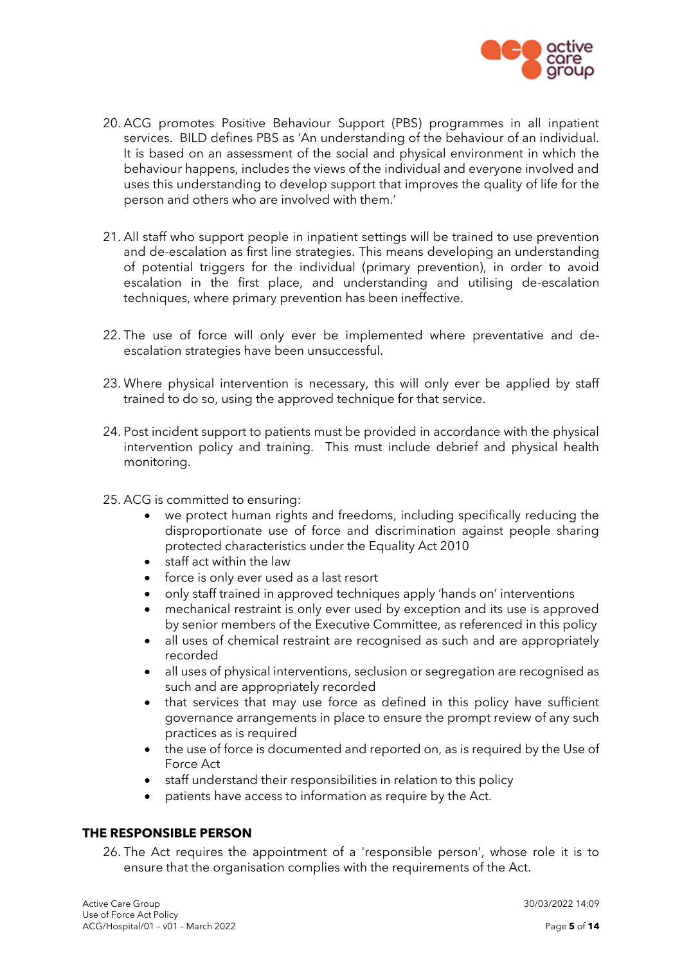

- 20. ACG promotes Positive Behaviour Support (PBS) programmes in all inpatient services. BILD defines PBS as 'An understanding of the behaviour of an individual. It is based on an assessment of the social and physical environment in which the behaviour happens, includes the views of the individual and everyone involved and uses this understanding to develop support that improves the quality of life for the person and others who are involved with them.'
- 21. All staff who support people in inpatient settings will be trained to use prevention and de-escalation as first line strategies. This means developing an understanding of potential triggers for the individual (primary prevention), in order to avoid escalation in the first place, and understanding and utilising de-escalation techniques, where primary prevention has been ineffective.
- 22. The use of force will only ever be implemented where preventative and deescalation strategies have been unsuccessful.
- 23. Where physical intervention is necessary, this will only ever be applied by staff trained to do so, using the approved technique for that service.
- 24. Post incident support to patients must be provided in accordance with the physical intervention policy and training. This must include debrief and physical health monitoring.
- 25. ACG is committed to ensuring:
	- we protect human rights and freedoms, including specifically reducing the disproportionate use of force and discrimination against people sharing protected characteristics under the Equality Act 2010
	- staff act within the law
	- force is only ever used as a last resort
	- only staff trained in approved techniques apply 'hands on' interventions
	- mechanical restraint is only ever used by exception and its use is approved by senior members of the Executive Committee, as referenced in this policy
	- all uses of chemical restraint are recognised as such and are appropriately recorded
	- all uses of physical interventions, seclusion or segregation are recognised as such and are appropriately recorded
	- that services that may use force as defined in this policy have sufficient governance arrangements in place to ensure the prompt review of any such practices as is required
	- the use of force is documented and reported on, as is required by the Use of Force Act
	- staff understand their responsibilities in relation to this policy
	- patients have access to information as require by the Act.

# **THE RESPONSIBLE PERSON**

26. The Act requires the appointment of a 'responsible person', whose role it is to ensure that the organisation complies with the requirements of the Act.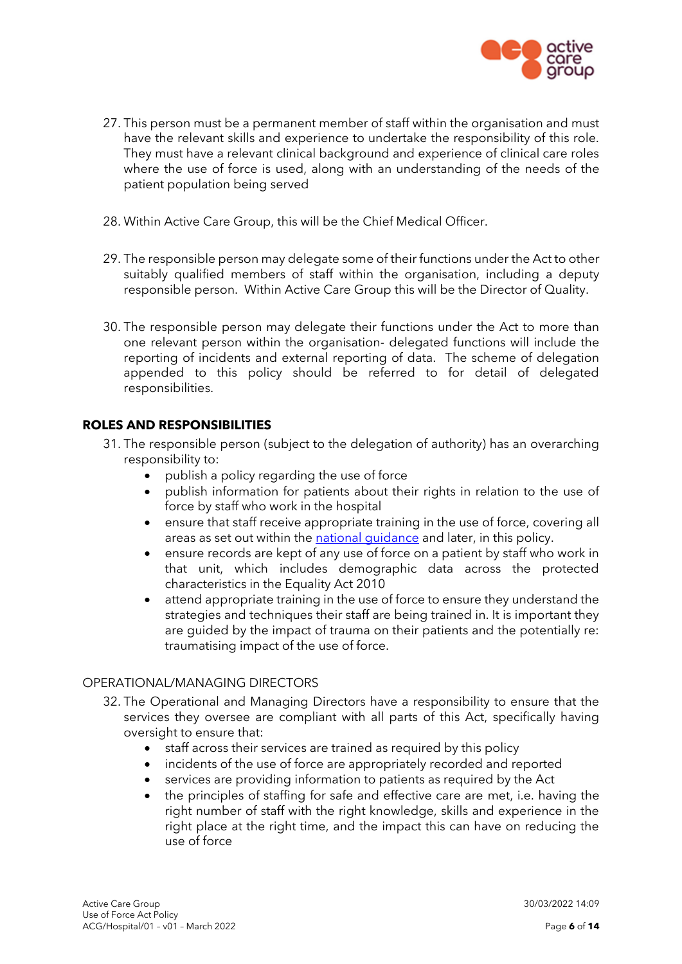

- 27. This person must be a permanent member of staff within the organisation and must have the relevant skills and experience to undertake the responsibility of this role. They must have a relevant clinical background and experience of clinical care roles where the use of force is used, along with an understanding of the needs of the patient population being served
- 28. Within Active Care Group, this will be the Chief Medical Officer.
- 29. The responsible person may delegate some of their functions under the Act to other suitably qualified members of staff within the organisation, including a deputy responsible person. Within Active Care Group this will be the Director of Quality.
- 30. The responsible person may delegate their functions under the Act to more than one relevant person within the organisation- delegated functions will include the reporting of incidents and external reporting of data. The scheme of delegation appended to this policy should be referred to for detail of delegated responsibilities.

# **ROLES AND RESPONSIBILITIES**

- 31. The responsible person (subject to the delegation of authority) has an overarching responsibility to:
	- publish a policy regarding the use of force
	- publish information for patients about their rights in relation to the use of force by staff who work in the hospital
	- ensure that staff receive appropriate training in the use of force, covering all areas as set out within the [national guidance](https://assets.publishing.service.gov.uk/government/uploads/system/uploads/attachment_data/file/1038725/Mental-Health-Units-Use-of-Force-Act-2018-statutory-guidance.pdf) and later, in this policy.
	- ensure records are kept of any use of force on a patient by staff who work in that unit, which includes demographic data across the protected characteristics in the Equality Act 2010
	- attend appropriate training in the use of force to ensure they understand the strategies and techniques their staff are being trained in. It is important they are guided by the impact of trauma on their patients and the potentially re: traumatising impact of the use of force.

## OPERATIONAL/MANAGING DIRECTORS

- 32. The Operational and Managing Directors have a responsibility to ensure that the services they oversee are compliant with all parts of this Act, specifically having oversight to ensure that:
	- staff across their services are trained as required by this policy
	- incidents of the use of force are appropriately recorded and reported
	- services are providing information to patients as required by the Act
	- the principles of staffing for safe and effective care are met, i.e. having the right number of staff with the right knowledge, skills and experience in the right place at the right time, and the impact this can have on reducing the use of force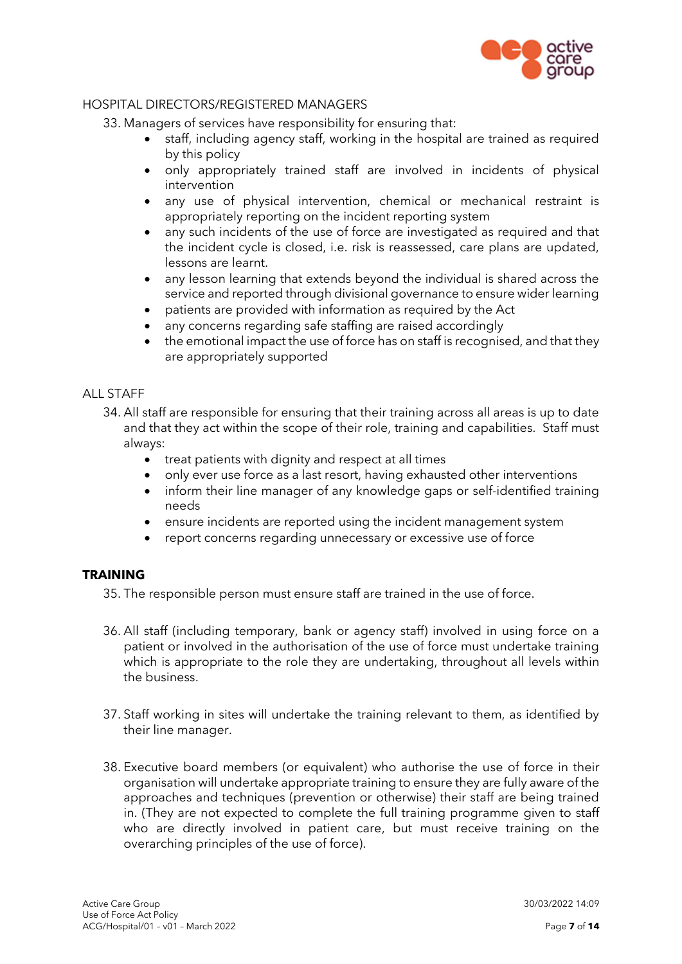

## HOSPITAL DIRECTORS/REGISTERED MANAGERS

33. Managers of services have responsibility for ensuring that:

- staff, including agency staff, working in the hospital are trained as required by this policy
- only appropriately trained staff are involved in incidents of physical intervention
- any use of physical intervention, chemical or mechanical restraint is appropriately reporting on the incident reporting system
- any such incidents of the use of force are investigated as required and that the incident cycle is closed, i.e. risk is reassessed, care plans are updated, lessons are learnt.
- any lesson learning that extends beyond the individual is shared across the service and reported through divisional governance to ensure wider learning
- patients are provided with information as required by the Act
- any concerns regarding safe staffing are raised accordingly
- the emotional impact the use of force has on staff is recognised, and that they are appropriately supported

#### ALL STAFF

- 34. All staff are responsible for ensuring that their training across all areas is up to date and that they act within the scope of their role, training and capabilities. Staff must always:
	- treat patients with dignity and respect at all times
	- only ever use force as a last resort, having exhausted other interventions
	- inform their line manager of any knowledge gaps or self-identified training needs
	- ensure incidents are reported using the incident management system
	- report concerns regarding unnecessary or excessive use of force

#### **TRAINING**

35. The responsible person must ensure staff are trained in the use of force.

- 36. All staff (including temporary, bank or agency staff) involved in using force on a patient or involved in the authorisation of the use of force must undertake training which is appropriate to the role they are undertaking, throughout all levels within the business.
- 37. Staff working in sites will undertake the training relevant to them, as identified by their line manager.
- 38. Executive board members (or equivalent) who authorise the use of force in their organisation will undertake appropriate training to ensure they are fully aware of the approaches and techniques (prevention or otherwise) their staff are being trained in. (They are not expected to complete the full training programme given to staff who are directly involved in patient care, but must receive training on the overarching principles of the use of force).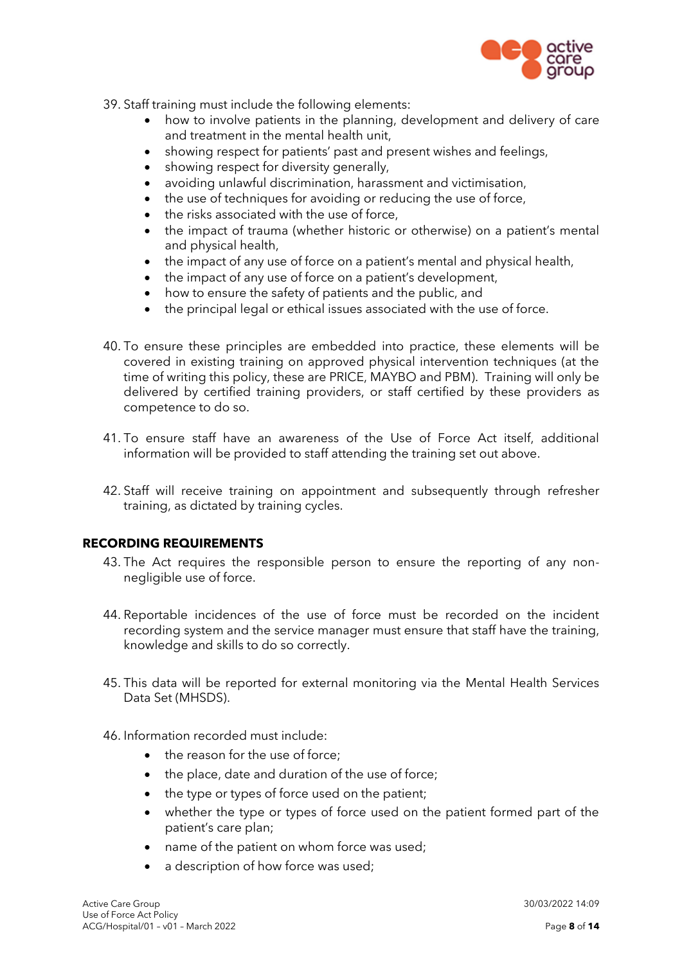

- 39. Staff training must include the following elements:
	- how to involve patients in the planning, development and delivery of care and treatment in the mental health unit,
	- showing respect for patients' past and present wishes and feelings,
	- showing respect for diversity generally,
	- avoiding unlawful discrimination, harassment and victimisation,
	- the use of techniques for avoiding or reducing the use of force,
	- the risks associated with the use of force,
	- the impact of trauma (whether historic or otherwise) on a patient's mental and physical health,
	- the impact of any use of force on a patient's mental and physical health,
	- the impact of any use of force on a patient's development,
	- how to ensure the safety of patients and the public, and
	- the principal legal or ethical issues associated with the use of force.
- 40. To ensure these principles are embedded into practice, these elements will be covered in existing training on approved physical intervention techniques (at the time of writing this policy, these are PRICE, MAYBO and PBM). Training will only be delivered by certified training providers, or staff certified by these providers as competence to do so.
- 41. To ensure staff have an awareness of the Use of Force Act itself, additional information will be provided to staff attending the training set out above.
- 42. Staff will receive training on appointment and subsequently through refresher training, as dictated by training cycles.

#### **RECORDING REQUIREMENTS**

- 43. The Act requires the responsible person to ensure the reporting of any nonnegligible use of force.
- 44. Reportable incidences of the use of force must be recorded on the incident recording system and the service manager must ensure that staff have the training, knowledge and skills to do so correctly.
- 45. This data will be reported for external monitoring via the Mental Health Services Data Set (MHSDS).
- 46. Information recorded must include:
	- the reason for the use of force:
	- the place, date and duration of the use of force;
	- the type or types of force used on the patient;
	- whether the type or types of force used on the patient formed part of the patient's care plan;
	- name of the patient on whom force was used;
	- a description of how force was used;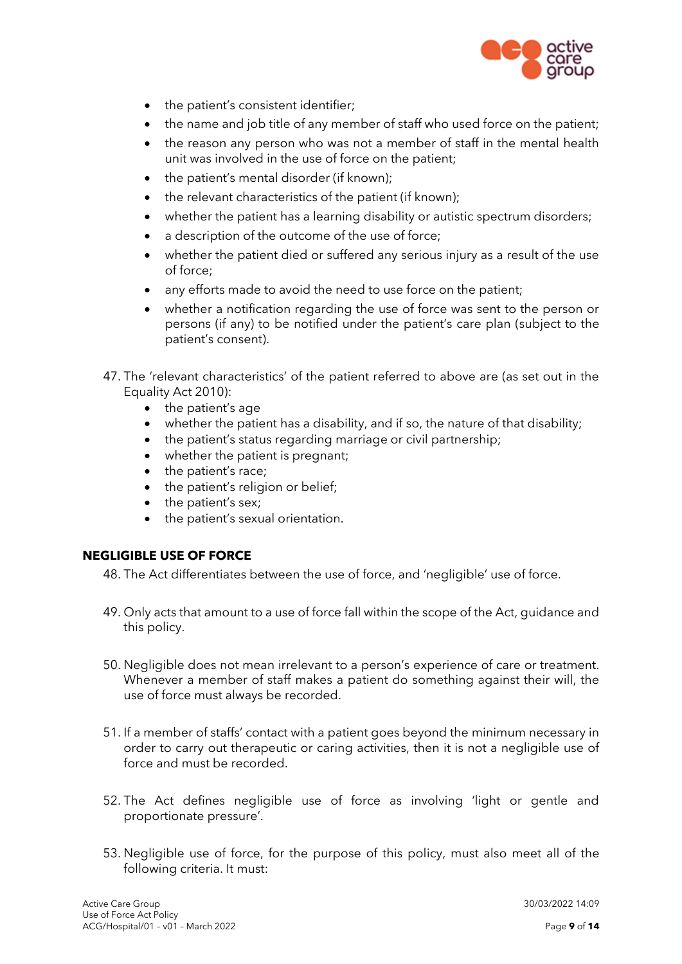

- the patient's consistent identifier;
- the name and job title of any member of staff who used force on the patient;
- the reason any person who was not a member of staff in the mental health unit was involved in the use of force on the patient;
- the patient's mental disorder (if known);
- the relevant characteristics of the patient (if known);
- whether the patient has a learning disability or autistic spectrum disorders;
- a description of the outcome of the use of force:
- whether the patient died or suffered any serious injury as a result of the use of force;
- any efforts made to avoid the need to use force on the patient;
- whether a notification regarding the use of force was sent to the person or persons (if any) to be notified under the patient's care plan (subject to the patient's consent).
- 47. The 'relevant characteristics' of the patient referred to above are (as set out in the Equality Act 2010):
	- the patient's age
	- whether the patient has a disability, and if so, the nature of that disability;
	- the patient's status regarding marriage or civil partnership;
	- whether the patient is pregnant;
	- the patient's race;
	- the patient's religion or belief;
	- the patient's sex;
	- the patient's sexual orientation.

# **NEGLIGIBLE USE OF FORCE**

- 48. The Act differentiates between the use of force, and 'negligible' use of force.
- 49. Only acts that amount to a use of force fall within the scope of the Act, guidance and this policy.
- 50. Negligible does not mean irrelevant to a person's experience of care or treatment. Whenever a member of staff makes a patient do something against their will, the use of force must always be recorded.
- 51. If a member of staffs' contact with a patient goes beyond the minimum necessary in order to carry out therapeutic or caring activities, then it is not a negligible use of force and must be recorded.
- 52. The Act defines negligible use of force as involving 'light or gentle and proportionate pressure'.
- 53. Negligible use of force, for the purpose of this policy, must also meet all of the following criteria. It must: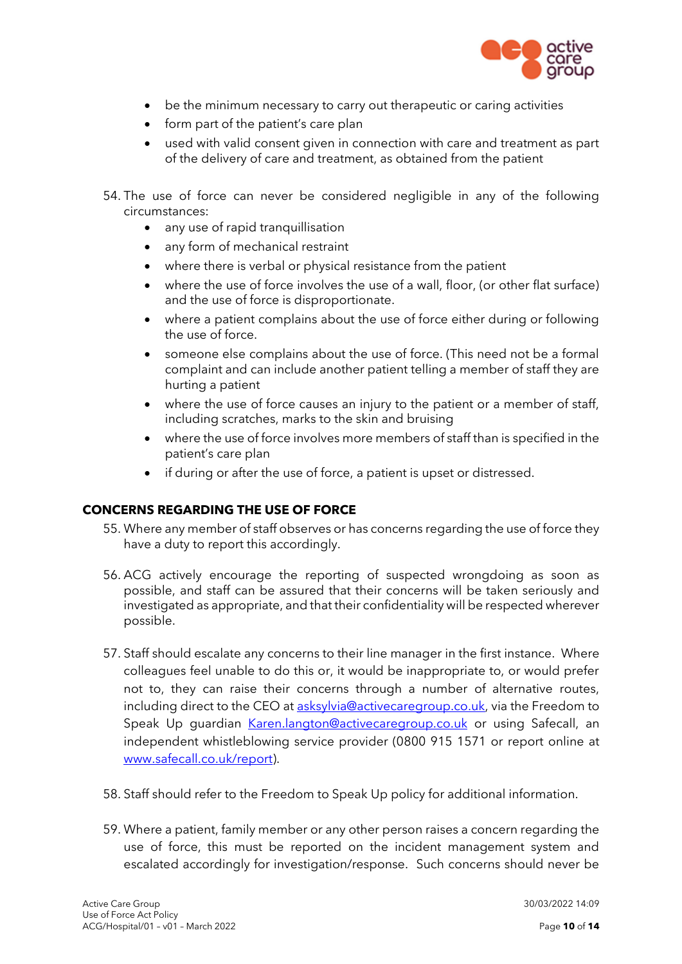

- be the minimum necessary to carry out therapeutic or caring activities
- form part of the patient's care plan
- used with valid consent given in connection with care and treatment as part of the delivery of care and treatment, as obtained from the patient
- 54. The use of force can never be considered negligible in any of the following circumstances:
	- any use of rapid tranquillisation
	- any form of mechanical restraint
	- where there is verbal or physical resistance from the patient
	- where the use of force involves the use of a wall, floor, (or other flat surface) and the use of force is disproportionate.
	- where a patient complains about the use of force either during or following the use of force.
	- someone else complains about the use of force. (This need not be a formal complaint and can include another patient telling a member of staff they are hurting a patient
	- where the use of force causes an injury to the patient or a member of staff, including scratches, marks to the skin and bruising
	- where the use of force involves more members of staff than is specified in the patient's care plan
	- if during or after the use of force, a patient is upset or distressed.

#### **CONCERNS REGARDING THE USE OF FORCE**

- 55. Where any member of staff observes or has concerns regarding the use of force they have a duty to report this accordingly.
- 56. ACG actively encourage the reporting of suspected wrongdoing as soon as possible, and staff can be assured that their concerns will be taken seriously and investigated as appropriate, and that their confidentiality will be respected wherever possible.
- 57. Staff should escalate any concerns to their line manager in the first instance. Where colleagues feel unable to do this or, it would be inappropriate to, or would prefer not to, they can raise their concerns through a number of alternative routes, including direct to the CEO at [asksylvia@activecaregroup.co.uk,](mailto:asksylvia@activecaregroup.co.uk) via the Freedom to Speak Up quardian [Karen.langton@activecaregroup.co.uk](mailto:Karen.langton@activecaregroup.co.uk) or using Safecall, an independent whistleblowing service provider (0800 915 1571 or report online at [www.safecall.co.uk/report\)](http://www.safecall.co.uk/report).
- 58. Staff should refer to the Freedom to Speak Up policy for additional information.
- 59. Where a patient, family member or any other person raises a concern regarding the use of force, this must be reported on the incident management system and escalated accordingly for investigation/response. Such concerns should never be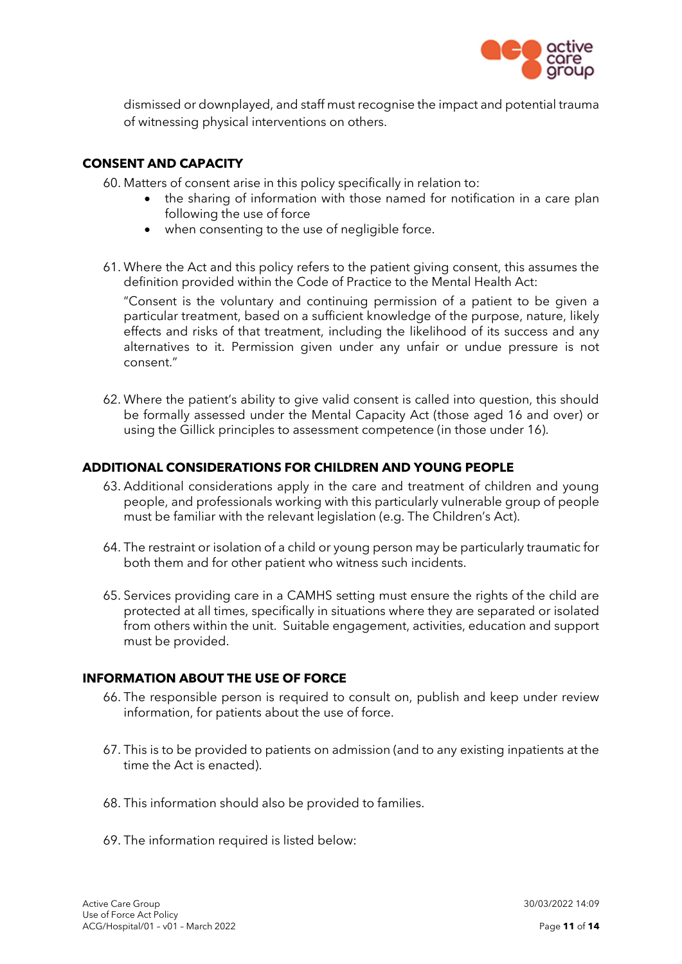

dismissed or downplayed, and staff must recognise the impact and potential trauma of witnessing physical interventions on others.

## **CONSENT AND CAPACITY**

60. Matters of consent arise in this policy specifically in relation to:

- the sharing of information with those named for notification in a care plan following the use of force
- when consenting to the use of negligible force.
- 61. Where the Act and this policy refers to the patient giving consent, this assumes the definition provided within the Code of Practice to the Mental Health Act:

"Consent is the voluntary and continuing permission of a patient to be given a particular treatment, based on a sufficient knowledge of the purpose, nature, likely effects and risks of that treatment, including the likelihood of its success and any alternatives to it. Permission given under any unfair or undue pressure is not consent."

62. Where the patient's ability to give valid consent is called into question, this should be formally assessed under the Mental Capacity Act (those aged 16 and over) or using the Gillick principles to assessment competence (in those under 16).

#### **ADDITIONAL CONSIDERATIONS FOR CHILDREN AND YOUNG PEOPLE**

- 63. Additional considerations apply in the care and treatment of children and young people, and professionals working with this particularly vulnerable group of people must be familiar with the relevant legislation (e.g. The Children's Act).
- 64. The restraint or isolation of a child or young person may be particularly traumatic for both them and for other patient who witness such incidents.
- 65. Services providing care in a CAMHS setting must ensure the rights of the child are protected at all times, specifically in situations where they are separated or isolated from others within the unit. Suitable engagement, activities, education and support must be provided.

#### **INFORMATION ABOUT THE USE OF FORCE**

- 66. The responsible person is required to consult on, publish and keep under review information, for patients about the use of force.
- 67. This is to be provided to patients on admission (and to any existing inpatients at the time the Act is enacted).
- 68. This information should also be provided to families.
- 69. The information required is listed below: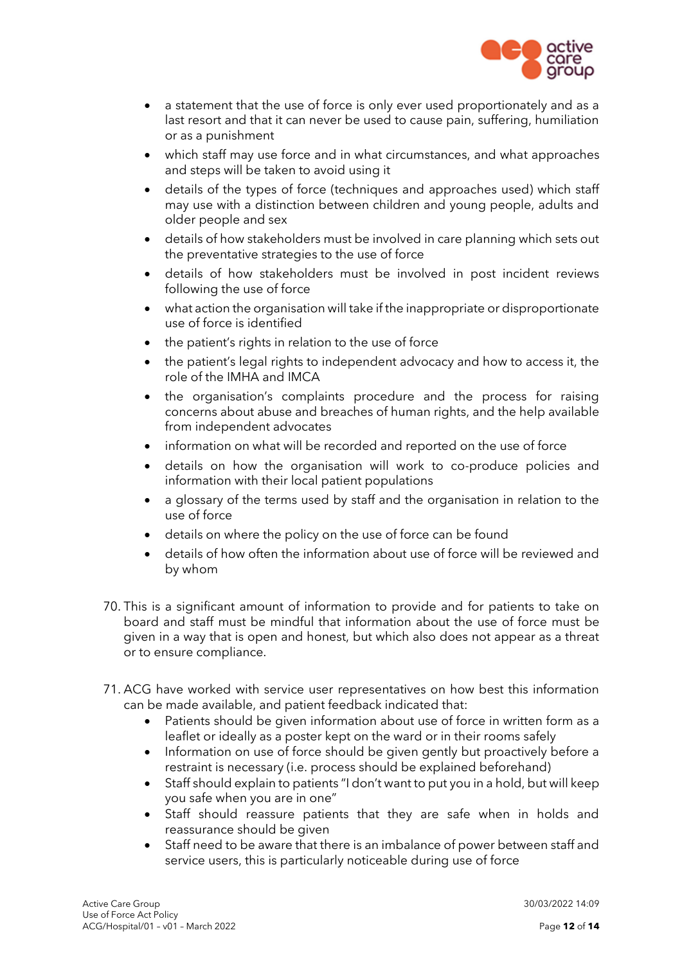

- a statement that the use of force is only ever used proportionately and as a last resort and that it can never be used to cause pain, suffering, humiliation or as a punishment
- which staff may use force and in what circumstances, and what approaches and steps will be taken to avoid using it
- details of the types of force (techniques and approaches used) which staff may use with a distinction between children and young people, adults and older people and sex
- details of how stakeholders must be involved in care planning which sets out the preventative strategies to the use of force
- details of how stakeholders must be involved in post incident reviews following the use of force
- what action the organisation will take if the inappropriate or disproportionate use of force is identified
- the patient's rights in relation to the use of force
- the patient's legal rights to independent advocacy and how to access it, the role of the IMHA and IMCA
- the organisation's complaints procedure and the process for raising concerns about abuse and breaches of human rights, and the help available from independent advocates
- information on what will be recorded and reported on the use of force
- details on how the organisation will work to co-produce policies and information with their local patient populations
- a glossary of the terms used by staff and the organisation in relation to the use of force
- details on where the policy on the use of force can be found
- details of how often the information about use of force will be reviewed and by whom
- 70. This is a significant amount of information to provide and for patients to take on board and staff must be mindful that information about the use of force must be given in a way that is open and honest, but which also does not appear as a threat or to ensure compliance.
- 71. ACG have worked with service user representatives on how best this information can be made available, and patient feedback indicated that:
	- Patients should be given information about use of force in written form as a leaflet or ideally as a poster kept on the ward or in their rooms safely
	- Information on use of force should be given gently but proactively before a restraint is necessary (i.e. process should be explained beforehand)
	- Staff should explain to patients "I don't want to put you in a hold, but will keep you safe when you are in one"
	- Staff should reassure patients that they are safe when in holds and reassurance should be given
	- Staff need to be aware that there is an imbalance of power between staff and service users, this is particularly noticeable during use of force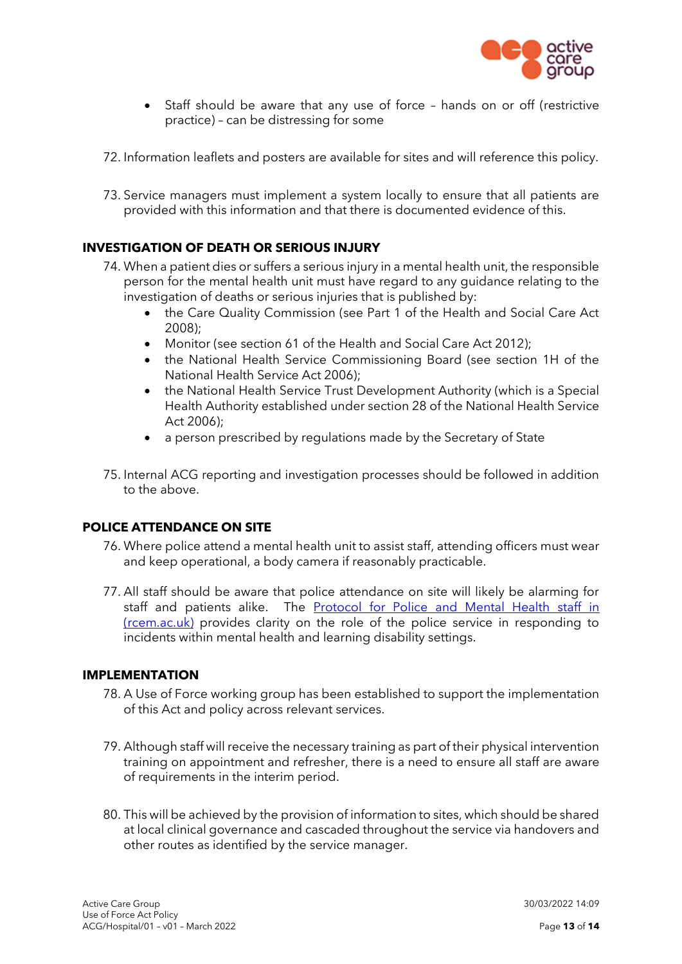

- Staff should be aware that any use of force hands on or off (restrictive practice) – can be distressing for some
- 72. Information leaflets and posters are available for sites and will reference this policy.
- 73. Service managers must implement a system locally to ensure that all patients are provided with this information and that there is documented evidence of this.

## **INVESTIGATION OF DEATH OR SERIOUS INJURY**

- 74. When a patient dies or suffers a serious injury in a mental health unit, the responsible person for the mental health unit must have regard to any guidance relating to the investigation of deaths or serious injuries that is published by:
	- the Care Quality Commission (see Part 1 of the Health and Social Care Act 2008);
	- Monitor (see section 61 of the Health and Social Care Act 2012);
	- the National Health Service Commissioning Board (see section 1H of the National Health Service Act 2006);
	- the National Health Service Trust Development Authority (which is a Special Health Authority established under section 28 of the National Health Service Act 2006);
	- a person prescribed by regulations made by the Secretary of State
- 75. Internal ACG reporting and investigation processes should be followed in addition to the above.

#### **POLICE ATTENDANCE ON SITE**

- 76. Where police attend a mental health unit to assist staff, attending officers must wear and keep operational, a body camera if reasonably practicable.
- 77. All staff should be aware that police attendance on site will likely be alarming for staff and patients alike. The [Protocol for Police and Mental Health staff in](https://rcem.ac.uk/wp-content/uploads/2021/11/Police_Use_of_Restraint_in_Mental_Health_and_LD_Settings.pdf)  [\(rcem.ac.uk\)](https://rcem.ac.uk/wp-content/uploads/2021/11/Police_Use_of_Restraint_in_Mental_Health_and_LD_Settings.pdf) provides clarity on the role of the police service in responding to incidents within mental health and learning disability settings.

#### **IMPLEMENTATION**

- 78. A Use of Force working group has been established to support the implementation of this Act and policy across relevant services.
- 79. Although staff will receive the necessary training as part of their physical intervention training on appointment and refresher, there is a need to ensure all staff are aware of requirements in the interim period.
- 80. This will be achieved by the provision of information to sites, which should be shared at local clinical governance and cascaded throughout the service via handovers and other routes as identified by the service manager.